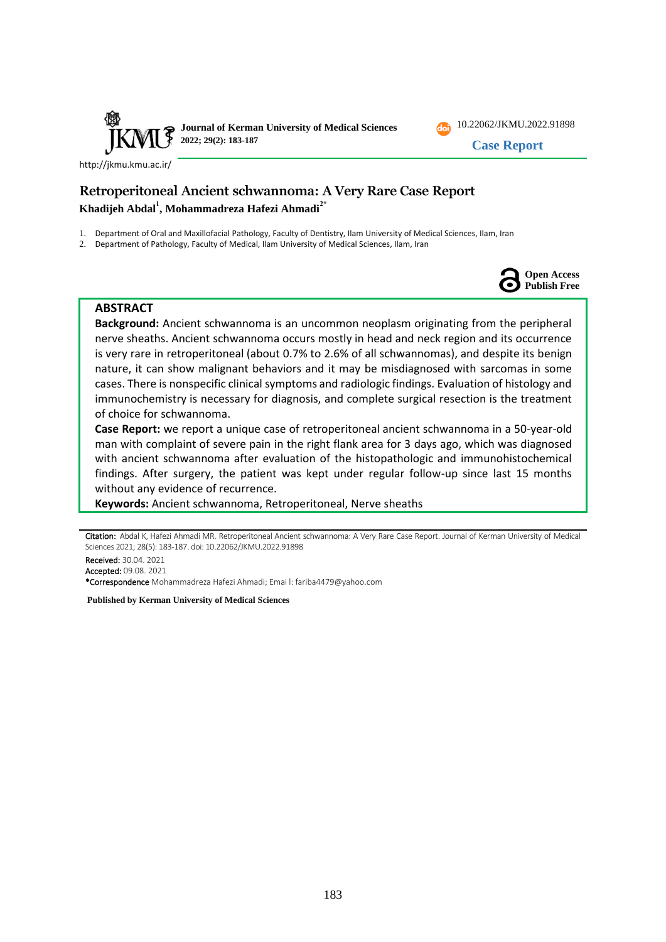



**Case Report**

<http://jkmu.kmu.ac.ir/>

# **Retroperitoneal Ancient schwannoma: A Very Rare Case Report Khadijeh Abdal<sup>1</sup> , Mohammadreza Hafezi Ahmadi2\***

- 1. Department of Oral and Maxillofacial Pathology, Faculty of Dentistry, Ilam University of Medical Sciences, Ilam, Iran
- 2. Department of Pathology, Faculty of Medical, Ilam University of Medical Sciences, Ilam, Iran



### **ABSTRACT**

**Background:** Ancient schwannoma is an uncommon neoplasm originating from the peripheral nerve sheaths. Ancient schwannoma occurs mostly in head and neck region and its occurrence is very rare in retroperitoneal (about 0.7% to 2.6% of all schwannomas), and despite its benign nature, it can show malignant behaviors and it may be misdiagnosed with sarcomas in some cases. There is nonspecific clinical symptoms and radiologic findings. Evaluation of histology and immunochemistry is necessary for diagnosis, and complete surgical resection is the treatment of choice for schwannoma.

**Case Report:** we report a unique case of retroperitoneal ancient schwannoma in a 50-year-old man with complaint of severe pain in the right flank area for 3 days ago, which was diagnosed with ancient schwannoma after evaluation of the histopathologic and immunohistochemical findings. After surgery, the patient was kept under regular follow-up since last 15 months without any evidence of recurrence.

**Keywords:** Ancient schwannoma, Retroperitoneal, Nerve sheaths

Received: 30.04. 2021 Accepted: 09.08. 2021

\*Correspondence Mohammadreza Hafezi Ahmadi; Emai l: fariba4479@yahoo.com

**Published by Kerman University of Medical Sciences**

Citation: Abdal K, Hafezi Ahmadi MR. Retroperitoneal Ancient schwannoma: A Very Rare Case Report. Journal of Kerman University of Medical Sciences 2021; 28(5): 183-187. doi: [10.22062/JKMU.2022.91898](https://dx.doi.org/10.22062/jkmu.2022.91898)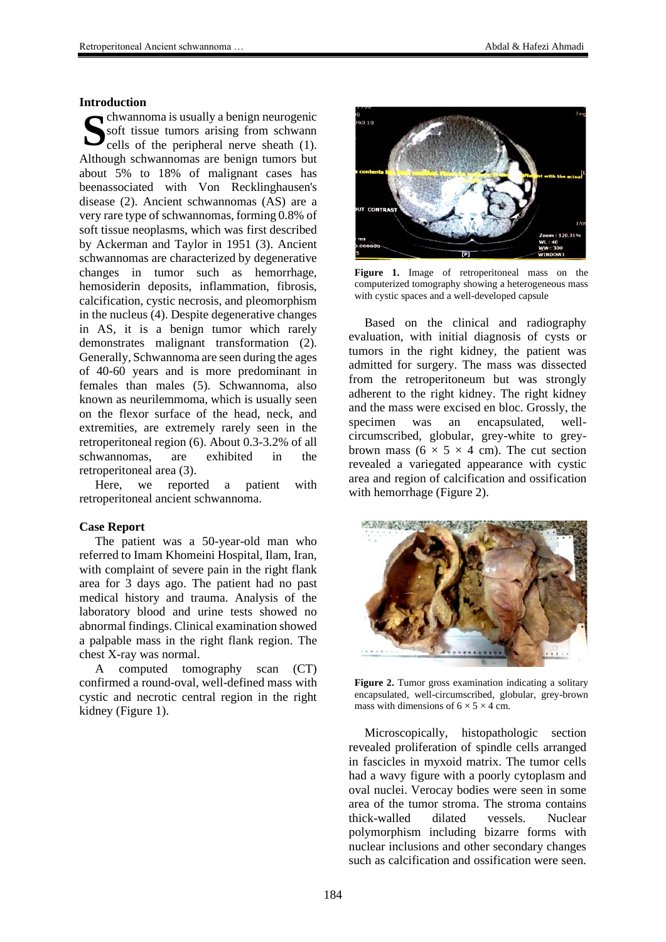#### **Introduction**

Soft tissue tumors arising from schwann<br>cells of the peripheral nerve sheath (1). soft tissue tumors arising from schwann cells of the peripheral nerve sheath (1). Although schwannomas are benign tumors but about 5% to 18% of malignant cases has beenassociated with Von Recklinghausen's disease (2). Ancient schwannomas (AS) are a very rare type of schwannomas, forming 0.8% of soft tissue neoplasms, which was first described by Ackerman and Taylor in 1951 (3). Ancient schwannomas are characterized by degenerative changes in tumor such as hemorrhage, hemosiderin deposits, inflammation, fibrosis, calcification, cystic necrosis, and pleomorphism in the nucleus (4). Despite degenerative changes in AS, it is a benign tumor which rarely demonstrates malignant transformation (2). Generally, Schwannoma are seen during the ages of 40-60 years and is more predominant in females than males (5). Schwannoma, also known as neurilemmoma, which is usually seen on the flexor surface of the head, neck, and extremities, are extremely rarely seen in the retroperitoneal region (6). About 0.3-3.2% of all schwannomas, are exhibited in the retroperitoneal area (3).

Here, we reported a patient with retroperitoneal ancient schwannoma.

### **Case Report**

The patient was a 50-year-old man who referred to Imam Khomeini Hospital, Ilam, Iran, with complaint of severe pain in the right flank area for 3 days ago. The patient had no past medical history and trauma. Analysis of the laboratory blood and urine tests showed no abnormal findings. Clinical examination showed a palpable mass in the right flank region. The chest X-ray was normal.

A computed tomography scan (CT) confirmed a round-oval, well-defined mass with cystic and necrotic central region in the right kidney (Figure 1).



**Figure 1.** Image of retroperitoneal mass on the computerized tomography showing a heterogeneous mass with cystic spaces and a well-developed capsule

Based on the clinical and radiography evaluation, with initial diagnosis of cysts or tumors in the right kidney, the patient was admitted for surgery. The mass was dissected from the retroperitoneum but was strongly adherent to the right kidney. The right kidney and the mass were excised en bloc. Grossly, the specimen was an encapsulated, wellcircumscribed, globular, grey-white to greybrown mass ( $6 \times 5 \times 4$  cm). The cut section revealed a variegated appearance with cystic area and region of calcification and ossification with hemorrhage (Figure 2).



**Figure 2.** Tumor gross examination indicating a solitary encapsulated, well-circumscribed, globular, grey-brown mass with dimensions of  $6 \times 5 \times 4$  cm.

Microscopically, histopathologic section revealed proliferation of spindle cells arranged in fascicles in myxoid matrix. The tumor cells had a wavy figure with a poorly cytoplasm and oval nuclei. Verocay bodies were seen in some area of the tumor stroma. The stroma contains thick-walled dilated vessels. Nuclear polymorphism including bizarre forms with nuclear inclusions and other secondary changes such as calcification and ossification were seen.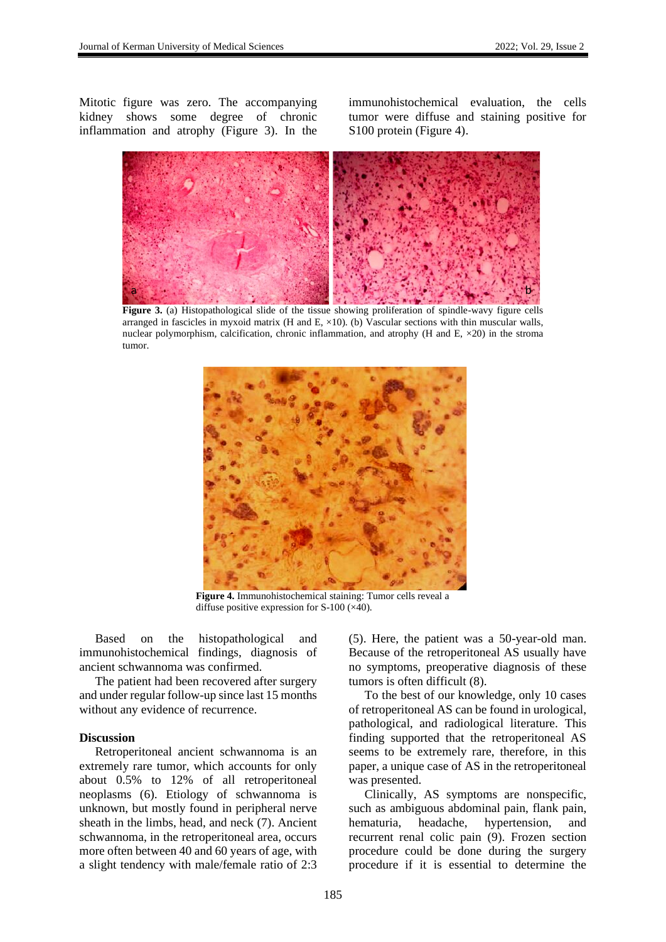Mitotic figure was zero. The accompanying kidney shows some degree of chronic inflammation and atrophy (Figure 3). In the immunohistochemical evaluation, the cells tumor were diffuse and staining positive for S100 protein (Figure 4).



**Figure 3.** (a) Histopathological slide of the tissue showing proliferation of spindle-wavy figure cells arranged in fascicles in myxoid matrix (H and E,  $\times$ 10). (b) Vascular sections with thin muscular walls, nuclear polymorphism, calcification, chronic inflammation, and atrophy  $(H \text{ and } E, \times 20)$  in the stroma tumor.



**Figure 4.** Immunohistochemical staining: Tumor cells reveal a diffuse positive expression for S-100 (×40).

Based on the histopathological and immunohistochemical findings, diagnosis of ancient schwannoma was confirmed.

The patient had been recovered after surgery and under regular follow-up since last 15 months without any evidence of recurrence.

#### **Discussion**

Retroperitoneal ancient schwannoma is an extremely rare tumor, which accounts for only about 0.5% to 12% of all retroperitoneal neoplasms (6). Etiology of schwannoma is unknown, but mostly found in peripheral nerve sheath in the limbs, head, and neck (7). Ancient schwannoma, in the retroperitoneal area, occurs more often between 40 and 60 years of age, with a slight tendency with male/female ratio of 2:3

(5). Here, the patient was a 50-year-old man. Because of the retroperitoneal AS usually have no symptoms, preoperative diagnosis of these tumors is often difficult (8).

To the best of our knowledge, only 10 cases of retroperitoneal AS can be found in urological, pathological, and radiological literature. This finding supported that the retroperitoneal AS seems to be extremely rare, therefore, in this paper, a unique case of AS in the retroperitoneal was presented.

Clinically, AS symptoms are nonspecific, such as ambiguous abdominal pain, flank pain, hematuria, headache, hypertension, and recurrent renal colic pain (9). Frozen section procedure could be done during the surgery procedure if it is essential to determine the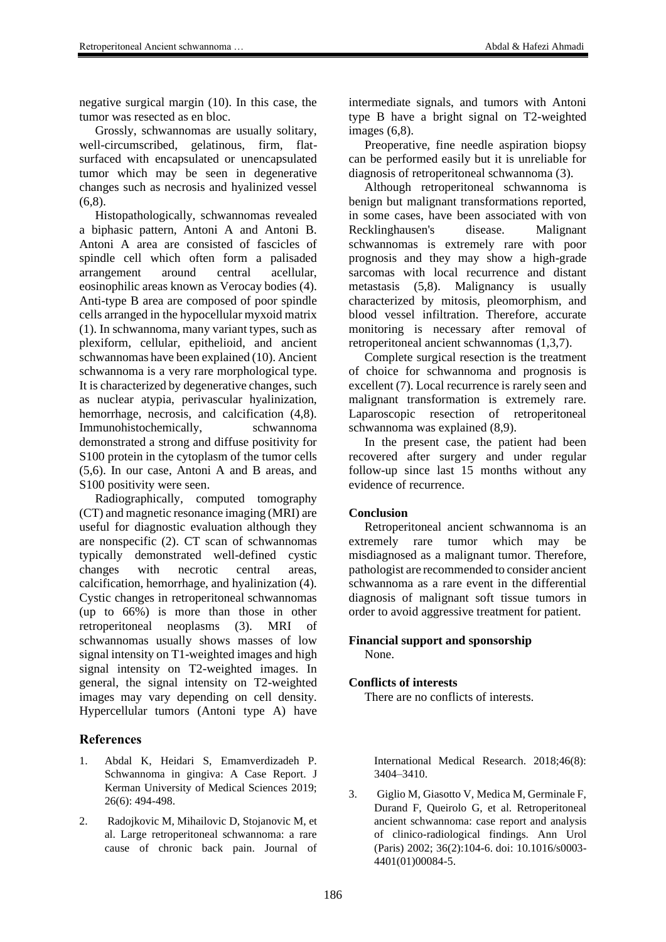negative surgical margin (10). In this case, the tumor was resected as en bloc.

Grossly, schwannomas are usually solitary, well-circumscribed, gelatinous, firm, flatsurfaced with encapsulated or unencapsulated tumor which may be seen in degenerative changes such as necrosis and hyalinized vessel  $(6.8)$ .

Histopathologically, schwannomas revealed a biphasic pattern, Antoni A and Antoni B. Antoni A area are consisted of fascicles of spindle cell which often form a palisaded arrangement around central acellular, eosinophilic areas known as Verocay bodies (4). Anti-type B area are composed of poor spindle cells arranged in the hypocellular myxoid matrix (1). In schwannoma, many variant types, such as plexiform, cellular, epithelioid, and ancient schwannomas have been explained (10). Ancient schwannoma is a very rare morphological type. It is characterized by degenerative changes, such as nuclear atypia, perivascular hyalinization, hemorrhage, necrosis, and calcification (4,8). Immunohistochemically, schwannoma demonstrated a strong and diffuse positivity for S100 protein in the cytoplasm of the tumor cells (5,6). In our case, Antoni A and B areas, and S100 positivity were seen.

Radiographically, computed tomography (CT) and magnetic resonance imaging (MRI) are useful for diagnostic evaluation although they are nonspecific (2). CT scan of schwannomas typically demonstrated well-defined cystic changes with necrotic central areas, calcification, hemorrhage, and hyalinization (4). Cystic changes in retroperitoneal schwannomas (up to 66%) is more than those in other retroperitoneal neoplasms (3). MRI of schwannomas usually shows masses of low signal intensity on T1-weighted images and high signal intensity on T2-weighted images. In general, the signal intensity on T2-weighted images may vary depending on cell density. Hypercellular tumors (Antoni type A) have

## **References**

- 1. Abdal K, Heidari S, Emamverdizadeh P. Schwannoma in gingiva: A Case Report. J Kerman University of Medical Sciences 2019; 26(6): 494-498.
- 2. Radojkovic M, Mihailovic D, Stojanovic M, et al. Large retroperitoneal schwannoma: a rare cause of chronic back pain. Journal of

intermediate signals, and tumors with Antoni type B have a bright signal on T2-weighted images (6,8).

Preoperative, fine needle aspiration biopsy can be performed easily but it is unreliable for diagnosis of retroperitoneal schwannoma (3).

Although retroperitoneal schwannoma is benign but malignant transformations reported, in some cases, have been associated with von Recklinghausen's disease. Malignant schwannomas is extremely rare with poor prognosis and they may show a high-grade sarcomas with local recurrence and distant metastasis (5,8). Malignancy is usually characterized by mitosis, pleomorphism, and blood vessel infiltration. Therefore, accurate monitoring is necessary after removal of retroperitoneal ancient schwannomas (1,3,7).

Complete surgical resection is the treatment of choice for schwannoma and prognosis is excellent (7). Local recurrence is rarely seen and malignant transformation is extremely rare. Laparoscopic resection of retroperitoneal schwannoma was explained (8,9).

In the present case, the patient had been recovered after surgery and under regular follow-up since last 15 months without any evidence of recurrence.

## **Conclusion**

Retroperitoneal ancient schwannoma is an extremely rare tumor which may be misdiagnosed as a malignant tumor. Therefore, pathologist are recommended to consider ancient schwannoma as a rare event in the differential diagnosis of malignant soft tissue tumors in order to avoid aggressive treatment for patient.

#### **Financial support and sponsorship** None.

## **Conflicts of interests**

There are no conflicts of interests.

International Medical Research. 2018;46(8): 3404–3410.

3. Giglio M, Giasotto V, Medica M, Germinale F, Durand F, Queirolo G, et al. Retroperitoneal ancient schwannoma: case report and analysis of clinico-radiological findings. Ann Urol (Paris) 2002; 36(2):104-6. doi: 10.1016/s0003- 4401(01)00084-5.